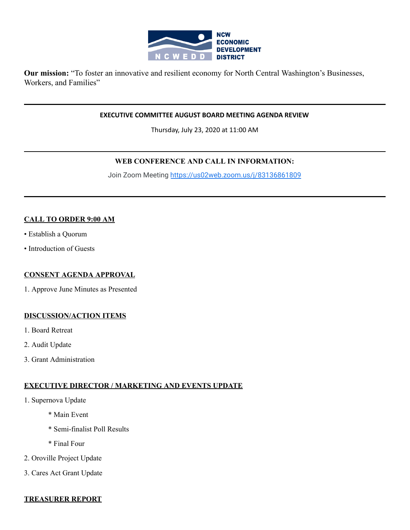

**Our mission:** "To foster an innovative and resilient economy for North Central Washington's Businesses, Workers, and Families"

#### **EXECUTIVE COMMITTEE AUGUST BOARD MEETING AGENDA REVIEW**

Thursday, July 23, 2020 at 11:00 AM

# **WEB CONFERENCE AND CALL IN INFORMATION:**

Join Zoom Meeting<https://us02web.zoom.us/j/83136861809>

# **CALL TO ORDER 9:00 AM**

- Establish a Quorum
- Introduction of Guests

#### **CONSENT AGENDA APPROVAL**

1. Approve June Minutes as Presented

#### **DISCUSSION/ACTION ITEMS**

- 1. Board Retreat
- 2. Audit Update
- 3. Grant Administration

# **EXECUTIVE DIRECTOR / MARKETING AND EVENTS UPDATE**

- 1. Supernova Update
	- \* Main Event
	- \* Semi-finalist Poll Results
	- \* Final Four
- 2. Oroville Project Update
- 3. Cares Act Grant Update

#### **TREASURER REPORT**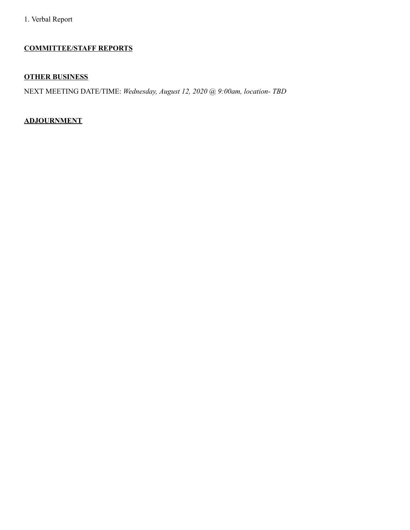# **COMMITTEE/STAFF REPORTS**

# **OTHER BUSINESS**

NEXT MEETING DATE/TIME: *Wednesday, August 12, 2020 @ 9:00am, location- TBD*

# **ADJOURNMENT**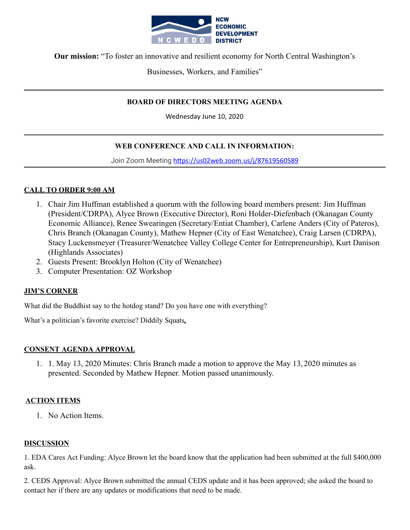

**Our mission:** "To foster an innovative and resilient economy for North Central Washington's

Businesses, Workers, and Families"

**\_\_\_\_\_\_\_\_\_\_\_\_\_\_\_\_\_\_\_\_\_\_\_\_\_\_\_\_\_\_\_\_\_\_\_\_\_\_\_\_\_\_\_\_\_\_\_\_\_\_\_\_\_\_\_\_\_\_\_\_\_\_\_\_\_\_\_\_\_\_\_\_\_\_\_\_\_\_\_\_\_\_\_\_\_\_\_\_\_\_\_\_\_\_\_\_\_\_**

# **BOARD OF DIRECTORS MEETING AGENDA**

Wednesday June 10, 2020

# **WEB CONFERENCE AND CALL IN INFORMATION:**

**\_\_\_\_\_\_\_\_\_\_\_\_\_\_\_\_\_\_\_\_\_\_\_\_\_\_\_\_\_\_\_\_\_\_\_\_\_\_\_\_\_\_\_\_\_\_\_\_\_\_\_\_\_\_\_\_\_\_\_\_\_\_\_\_\_\_\_\_\_\_\_\_\_\_\_\_\_\_\_\_\_\_\_\_\_\_\_\_\_\_\_\_\_\_\_\_\_\_**

Join Zoom Meeting https://us02web.zoom.us/j/87619560589

# **CALL TO ORDER 9:00 AM**

- 1. Chair Jim Huffman established a quorum with the following board members present: Jim Huffman (President/CDRPA), Alyce Brown (Executive Director), Roni Holder-Diefenbach (Okanagan County Economic Alliance), Renee Swearingen (Secretary/Entiat Chamber), Carlene Anders (City of Pateros), Chris Branch (Okanagan County), Mathew Hepner (City of East Wenatchee), Craig Larsen (CDRPA), Stacy Luckensmeyer (Treasurer/Wenatchee Valley College Center for Entrepreneurship), Kurt Danison (Highlands Associates)
- 2. Guests Present: Brooklyn Holton (City of Wenatchee)
- 3. Computer Presentation: OZ Workshop

# **JIM'S CORNER**

What did the Buddhist say to the hotdog stand? Do you have one with everything?

What's a politician's favorite exercise? Diddily Squats**.**

# **CONSENT AGENDA APPROVAL**

1. 1. May 13, 2020 Minutes: Chris Branch made a motion to approve the May 13, 2020 minutes as presented. Seconded by Mathew Hepner. Motion passed unanimously.

# **ACTION ITEMS**

1. No Action Items.

#### **DISCUSSION**

1. EDA Cares Act Funding: Alyce Brown let the board know that the application had been submitted at the full \$400,000 ask.

2. CEDS Approval: Alyce Brown submitted the annual CEDS update and it has been approved; she asked the board to contact her if there are any updates or modifications that need to be made.